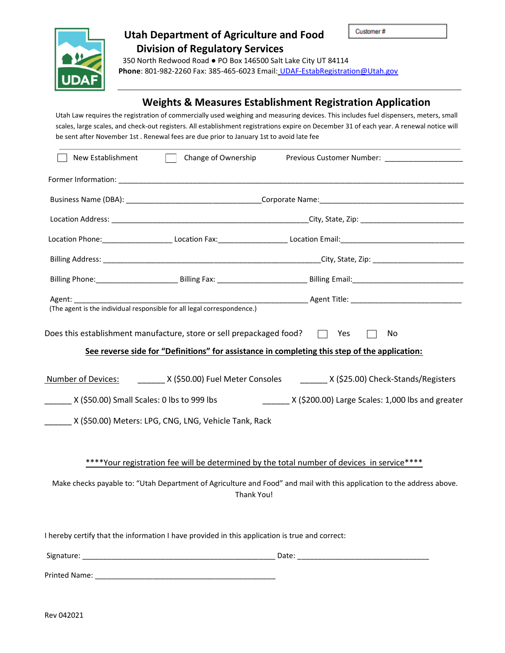

## **Utah Department of Agriculture and Food Division of Regulatory Services**

 350 North Redwood Road ● PO Box 146500 Salt Lake City UT 84114 **Phone**: 801-982-2260 Fax: 385-465-6023 Email: [UDAF-EstabRegistration@Utah.gov](mailto:UDAF-EstabRegistration@Utah.gov)

### **Weights & Measures Establishment Registration Application**

Utah Law requires the registration of commercially used weighing and measuring devices. This includes fuel dispensers, meters, small scales, large scales, and check-out registers. All establishment registrations expire on December 31 of each year. A renewal notice will be sent after November 1st . Renewal fees are due prior to January 1st to avoid late fee

| New Establishment                            | Change of Ownership                                                                            |                                                                                                                                                                                                                      |
|----------------------------------------------|------------------------------------------------------------------------------------------------|----------------------------------------------------------------------------------------------------------------------------------------------------------------------------------------------------------------------|
|                                              |                                                                                                |                                                                                                                                                                                                                      |
|                                              |                                                                                                |                                                                                                                                                                                                                      |
|                                              |                                                                                                |                                                                                                                                                                                                                      |
|                                              |                                                                                                |                                                                                                                                                                                                                      |
|                                              |                                                                                                |                                                                                                                                                                                                                      |
|                                              |                                                                                                |                                                                                                                                                                                                                      |
|                                              | (The agent is the individual responsible for all legal correspondence.)                        |                                                                                                                                                                                                                      |
|                                              | Does this establishment manufacture, store or sell prepackaged food?                           | □ Yes<br>No<br>See reverse side for "Definitions" for assistance in completing this step of the application:                                                                                                         |
| Number of Devices:                           |                                                                                                | __________ X (\$50.00) Fuel Meter Consoles __________ X (\$25.00) Check-Stands/Registers                                                                                                                             |
| _ X (\$50.00) Small Scales: 0 lbs to 999 lbs |                                                                                                | X (\$200.00) Large Scales: 1,000 lbs and greater                                                                                                                                                                     |
|                                              | X (\$50.00) Meters: LPG, CNG, LNG, Vehicle Tank, Rack                                          |                                                                                                                                                                                                                      |
|                                              | Thank You!                                                                                     | ****Your registration fee will be determined by the total number of devices in service****<br>Make checks payable to: "Utah Department of Agriculture and Food" and mail with this application to the address above. |
|                                              | I hereby certify that the information I have provided in this application is true and correct: |                                                                                                                                                                                                                      |
|                                              |                                                                                                |                                                                                                                                                                                                                      |

Rev 042021